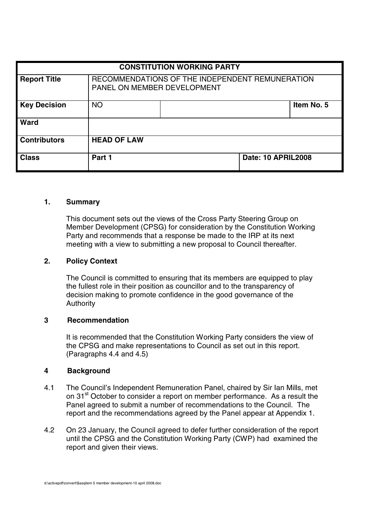| <b>CONSTITUTION WORKING PARTY</b> |                                                                                |  |                           |            |
|-----------------------------------|--------------------------------------------------------------------------------|--|---------------------------|------------|
| <b>Report Title</b>               | RECOMMENDATIONS OF THE INDEPENDENT REMUNERATION<br>PANEL ON MEMBER DEVELOPMENT |  |                           |            |
| <b>Key Decision</b>               | <b>NO</b>                                                                      |  |                           | Item No. 5 |
| <b>Ward</b>                       |                                                                                |  |                           |            |
| <b>Contributors</b>               | <b>HEAD OF LAW</b>                                                             |  |                           |            |
| <b>Class</b>                      | Part 1                                                                         |  | <b>Date: 10 APRIL2008</b> |            |

### **1. Summary**

This document sets out the views of the Cross Party Steering Group on Member Development (CPSG) for consideration by the Constitution Working Party and recommends that a response be made to the IRP at its next meeting with a view to submitting a new proposal to Council thereafter.

# **2. Policy Context**

The Council is committed to ensuring that its members are equipped to play the fullest role in their position as councillor and to the transparency of decision making to promote confidence in the good governance of the **Authority** 

### **3 Recommendation**

It is recommended that the Constitution Working Party considers the view of the CPSG and make representations to Council as set out in this report. (Paragraphs 4.4 and 4.5)

#### **4 Background**

- 4.1 The Council's Independent Remuneration Panel, chaired by Sir Ian Mills, met on 31<sup>st</sup> October to consider a report on member performance. As a result the Panel agreed to submit a number of recommendations to the Council. The report and the recommendations agreed by the Panel appear at Appendix 1.
- 4.2 On 23 January, the Council agreed to defer further consideration of the report until the CPSG and the Constitution Working Party (CWP) had examined the report and given their views.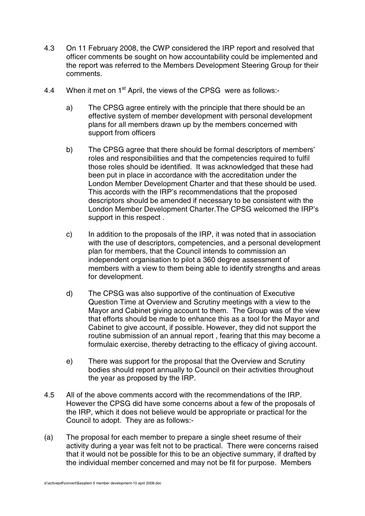- 4.3 On 11 February 2008, the CWP considered the IRP report and resolved that officer comments be sought on how accountability could be implemented and the report was referred to the Members Development Steering Group for their comments.
- 4.4 When it met on 1<sup>st</sup> April, the views of the CPSG were as follows:
	- a) The CPSG agree entirely with the principle that there should be an effective system of member development with personal development plans for all members drawn up by the members concerned with support from officers
	- b) The CPSG agree that there should be formal descriptors of members' roles and responsibilities and that the competencies required to fulfil those roles should be identified. It was acknowledged that these had been put in place in accordance with the accreditation under the London Member Development Charter and that these should be used. This accords with the IRP's recommendations that the proposed descriptors should be amended if necessary to be consistent with the London Member Development Charter.The CPSG welcomed the IRP's support in this respect .
	- c) In addition to the proposals of the IRP, it was noted that in association with the use of descriptors, competencies, and a personal development plan for members, that the Council intends to commission an independent organisation to pilot a 360 degree assessment of members with a view to them being able to identify strengths and areas for development.
	- d) The CPSG was also supportive of the continuation of Executive Question Time at Overview and Scrutiny meetings with a view to the Mayor and Cabinet giving account to them. The Group was of the view that efforts should be made to enhance this as a tool for the Mayor and Cabinet to give account, if possible. However, they did not support the routine submission of an annual report , fearing that this may become a formulaic exercise, thereby detracting to the efficacy of giving account.
	- e) There was support for the proposal that the Overview and Scrutiny bodies should report annually to Council on their activities throughout the year as proposed by the IRP.
- 4.5 All of the above comments accord with the recommendations of the IRP. However the CPSG did have some concerns about a few of the proposals of the IRP, which it does not believe would be appropriate or practical for the Council to adopt. They are as follows:-
- (a) The proposal for each member to prepare a single sheet resume of their activity during a year was felt not to be practical. There were concerns raised that it would not be possible for this to be an objective summary, if drafted by the individual member concerned and may not be fit for purpose. Members

d:\activepdf\convert\\$asqitem 5 member development-10 april 2008.doc